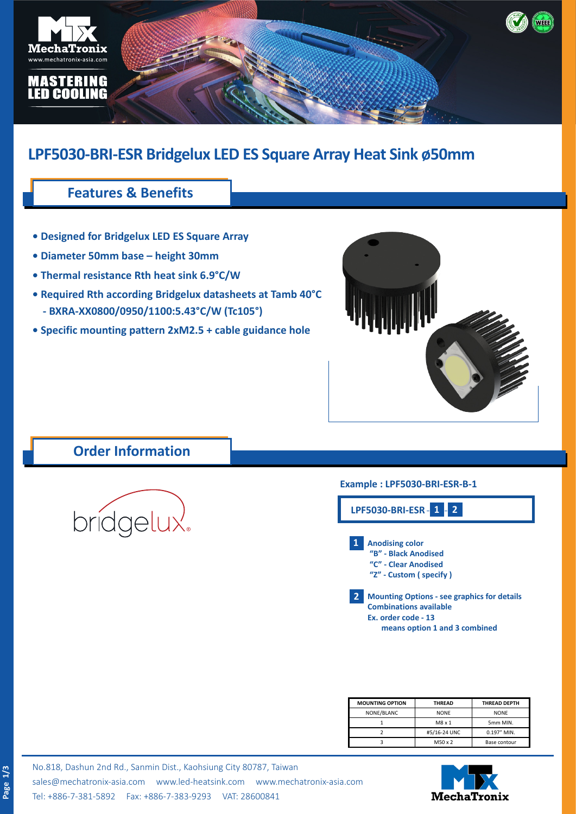

# **LPF5030-BRI-ESR Bridgelux LED ES Square Array Heat Sink ø50mm**

### **Features & Benefits**

- **Designed for Bridgelux LED ES Square Array**
- **Diameter 50mm base height 30mm**
- **Thermal resistance Rth heat sink 6.9°C/W**
- **Required Rth according Bridgelux datasheets at Tamb 40°C - BXRA-XX0800/0950/1100:5.43°C/W (Tc105°)**
- **Specific mounting pattern 2xM2.5 + cable guidance hole**



### **Order Information**



#### **Example : LPF5030-BRI-ESR-B-1**



| <b>MOUNTING OPTION</b> | <b>THREAD</b>               | <b>THREAD DEPTH</b> |  |
|------------------------|-----------------------------|---------------------|--|
| NONE/BLANC             | <b>NONE</b>                 | <b>NONE</b>         |  |
|                        | $M8 \times 1$               | 5mm MIN.            |  |
|                        | #5/16-24 UNC<br>0.197" MIN. |                     |  |
|                        | M50 x 2                     | Base contour        |  |



No.818, Dashun 2nd Rd., Sanmin Dist., Kaohsiung City 80787, Taiwan [sales@mechatronix-asia.com](mailto:sales%40mechatronix-asia.com?subject=) [www.led-heatsink.com](http://www.led-heatsink.com) [www.mechatronix-asia.com](http://www.mechatronix-asia.com) Tel: +886-7-381-5892 Fax: +886-7-383-9293 VAT: 28600841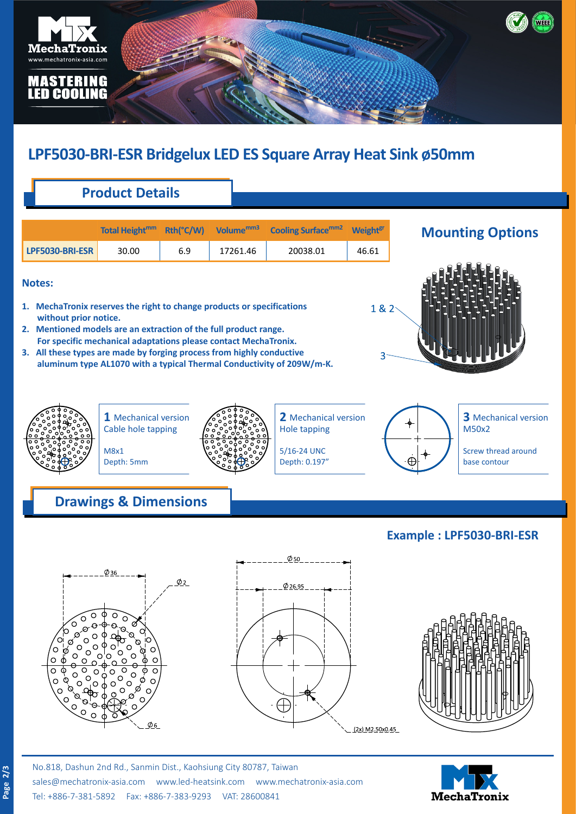

# **LPF5030-BRI-ESR Bridgelux LED ES Square Array Heat Sink ø50mm**

## **Product Details**

|                 | Total Height <sup>mm</sup> | Rth(°C/W) | Volume <sup>mm3</sup> | <b>Cooling Surface</b> mm <sub>2</sub> | <b>Weight<sup>gr</sup></b> |
|-----------------|----------------------------|-----------|-----------------------|----------------------------------------|----------------------------|
| LPF5030-BRI-ESR | 30.00                      | 6.9       | 17261.46              | 20038.01                               | 46.61                      |

#### **Notes:**

- **1. MechaTronix reserves the right to change products or specifications without prior notice.**
- **2. Mentioned models are an extraction of the full product range. For specific mechanical adaptations please contact MechaTronix.**
- **3. All these types are made by forging process from highly conductive aluminum type AL1070 with a typical Thermal Conductivity of 209W/m-K.**

### **Mounting Options**





**1** Mechanical version Cable hole tapping



**2** Mechanical version Hole tapping

5/16-24 UNC Depth: 0.197"

### **Drawings & Dimensions**

M8x1 Depth: 5mm



**3** Mechanical version M50x2

Screw thread around base contour

### **Example : LPF5030-BRI-ESR**







No.818, Dashun 2nd Rd., Sanmin Dist., Kaohsiung City 80787, Taiwan [sales@mechatronix-asia.com](mailto:sales%40mechatronix-asia.com?subject=) [www.led-heatsink.com](http://www.led-heatsink.com) [www.mechatronix-asia.com](http://www.mechatronix-asia.com) Tel: +886-7-381-5892 Fax: +886-7-383-9293 VAT: 28600841